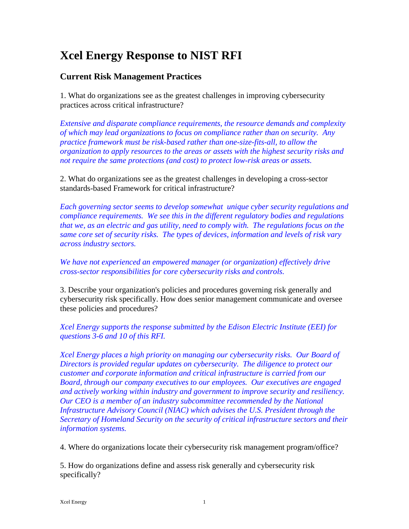# **Xcel Energy Response to NIST RFI**

## **Current Risk Management Practices**

1. What do organizations see as the greatest challenges in improving cybersecurity practices across critical infrastructure?

*Extensive and disparate compliance requirements, the resource demands and complexity of which may lead organizations to focus on compliance rather than on security. Any practice framework must be risk-based rather than one-size-fits-all, to allow the organization to apply resources to the areas or assets with the highest security risks and not require the same protections (and cost) to protect low-risk areas or assets.*

2. What do organizations see as the greatest challenges in developing a cross-sector standards-based Framework for critical infrastructure?

*Each governing sector seems to develop somewhat unique cyber security regulations and compliance requirements. We see this in the different regulatory bodies and regulations that we, as an electric and gas utility, need to comply with. The regulations focus on the same core set of security risks. The types of devices, information and levels of risk vary across industry sectors.*

*We have not experienced an empowered manager (or organization) effectively drive cross-sector responsibilities for core cybersecurity risks and controls.* 

3. Describe your organization's policies and procedures governing risk generally and cybersecurity risk specifically. How does senior management communicate and oversee these policies and procedures?

*Xcel Energy supports the response submitted by the Edison Electric Institute (EEI) for questions 3-6 and 10 of this RFI.* 

*Xcel Energy places a high priority on managing our cybersecurity risks. Our Board of Directors is provided regular updates on cybersecurity. The diligence to protect our customer and corporate information and critical infrastructure is carried from our Board, through our company executives to our employees. Our executives are engaged and actively working within industry and government to improve security and resiliency. Our CEO is a member of an industry subcommittee recommended by the National Infrastructure Advisory Council (NIAC) which advises the U.S. President through the Secretary of Homeland Security on the security of critical infrastructure sectors and their information systems.*

4. Where do organizations locate their cybersecurity risk management program/office?

5. How do organizations define and assess risk generally and cybersecurity risk specifically?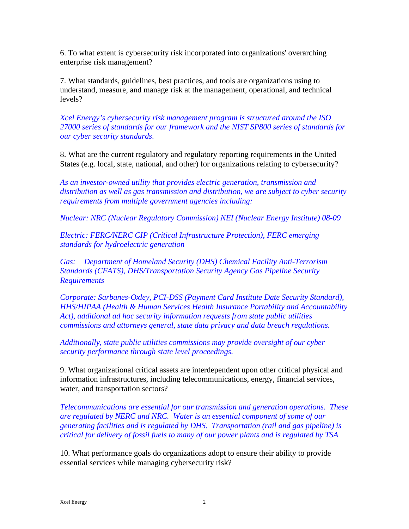6. To what extent is cybersecurity risk incorporated into organizations' overarching enterprise risk management?

7. What standards, guidelines, best practices, and tools are organizations using to understand, measure, and manage risk at the management, operational, and technical levels?

*Xcel Energy's cybersecurity risk management program is structured around the ISO 27000 series of standards for our framework and the NIST SP800 series of standards for our cyber security standards*.

8. What are the current regulatory and regulatory reporting requirements in the United States (e.g. local, state, national, and other) for organizations relating to cybersecurity?

*As an investor-owned utility that provides electric generation, transmission and distribution as well as gas transmission and distribution, we are subject to cyber security requirements from multiple government agencies including:*

*Nuclear: NRC (Nuclear Regulatory Commission) NEI (Nuclear Energy Institute) 08-09*

*Electric: FERC/NERC CIP (Critical Infrastructure Protection), FERC emerging standards for hydroelectric generation*

*Gas: Department of Homeland Security (DHS) Chemical Facility Anti-Terrorism Standards (CFATS), DHS/Transportation Security Agency Gas Pipeline Security Requirements*

*Corporate: Sarbanes-Oxley, PCI-DSS (Payment Card Institute Date Security Standard), HHS/HIPAA (Health & Human Services Health Insurance Portability and Accountability Act), additional ad hoc security information requests from state public utilities commissions and attorneys general, state data privacy and data breach regulations.* 

*Additionally, state public utilities commissions may provide oversight of our cyber security performance through state level proceedings.* 

9. What organizational critical assets are interdependent upon other critical physical and information infrastructures, including telecommunications, energy, financial services, water, and transportation sectors?

*Telecommunications are essential for our transmission and generation operations. These are regulated by NERC and NRC. Water is an essential component of some of our generating facilities and is regulated by DHS. Transportation (rail and gas pipeline) is critical for delivery of fossil fuels to many of our power plants and is regulated by TSA* 

10. What performance goals do organizations adopt to ensure their ability to provide essential services while managing cybersecurity risk?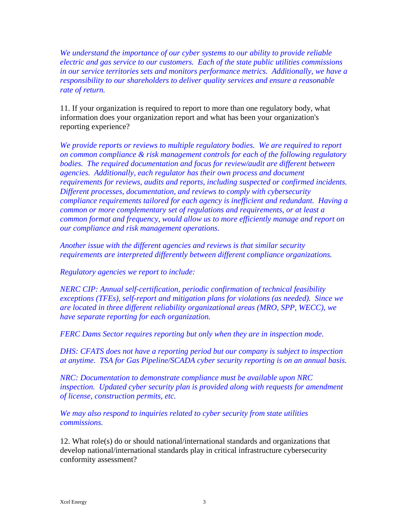*We understand the importance of our cyber systems to our ability to provide reliable electric and gas service to our customers. Each of the state public utilities commissions in our service territories sets and monitors performance metrics. Additionally, we have a responsibility to our shareholders to deliver quality services and ensure a reasonable rate of return.*

11. If your organization is required to report to more than one regulatory body, what information does your organization report and what has been your organization's reporting experience?

*We provide reports or reviews to multiple regulatory bodies. We are required to report on common compliance & risk management controls for each of the following regulatory bodies. The required documentation and focus for review/audit are different between agencies. Additionally, each regulator has their own process and document requirements for reviews, audits and reports, including suspected or confirmed incidents. Different processes, documentation, and reviews to comply with cybersecurity compliance requirements tailored for each agency is inefficient and redundant. Having a common or more complementary set of regulations and requirements, or at least a common format and frequency, would allow us to more efficiently manage and report on our compliance and risk management operations.*

*Another issue with the different agencies and reviews is that similar security requirements are interpreted differently between different compliance organizations.*

*Regulatory agencies we report to include:*

*NERC CIP: Annual self-certification, periodic confirmation of technical feasibility exceptions (TFEs), self-report and mitigation plans for violations (as needed). Since we are located in three different reliability organizational areas (MRO, SPP, WECC), we have separate reporting for each organization.*

*FERC Dams Sector requires reporting but only when they are in inspection mode.*

*DHS: CFATS does not have a reporting period but our company is subject to inspection at anytime. TSA for Gas Pipeline/SCADA cyber security reporting is on an annual basis.*

*NRC: Documentation to demonstrate compliance must be available upon NRC inspection. Updated cyber security plan is provided along with requests for amendment of license, construction permits, etc.*

*We may also respond to inquiries related to cyber security from state utilities commissions.*

12. What role(s) do or should national/international standards and organizations that develop national/international standards play in critical infrastructure cybersecurity conformity assessment?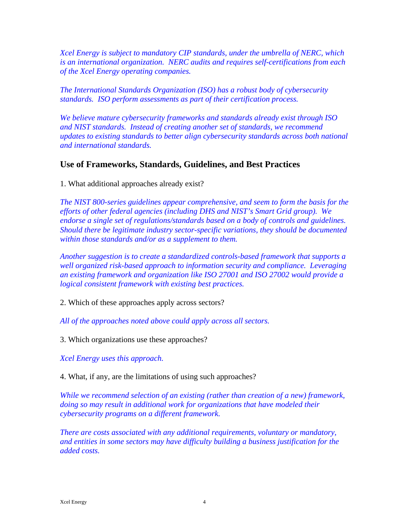*Xcel Energy is subject to mandatory CIP standards, under the umbrella of NERC, which is an international organization. NERC audits and requires self-certifications from each of the Xcel Energy operating companies.*

*The International Standards Organization (ISO) has a robust body of cybersecurity standards. ISO perform assessments as part of their certification process.*

*We believe mature cybersecurity frameworks and standards already exist through ISO and NIST standards. Instead of creating another set of standards, we recommend updates to existing standards to better align cybersecurity standards across both national and international standards.*

#### **Use of Frameworks, Standards, Guidelines, and Best Practices**

1. What additional approaches already exist?

*The NIST 800-series guidelines appear comprehensive, and seem to form the basis for the efforts of other federal agencies (including DHS and NIST's Smart Grid group). We endorse a single set of regulations/standards based on a body of controls and guidelines. Should there be legitimate industry sector-specific variations, they should be documented within those standards and/or as a supplement to them.*

*Another suggestion is to create a standardized controls-based framework that supports a well organized risk-based approach to information security and compliance. Leveraging an existing framework and organization like ISO 27001 and ISO 27002 would provide a logical consistent framework with existing best practices.*

2. Which of these approaches apply across sectors?

*All of the approaches noted above could apply across all sectors.*

3. Which organizations use these approaches?

*Xcel Energy uses this approach.*

4. What, if any, are the limitations of using such approaches?

*While we recommend selection of an existing (rather than creation of a new) framework, doing so may result in additional work for organizations that have modeled their cybersecurity programs on a different framework.* 

*There are costs associated with any additional requirements, voluntary or mandatory, and entities in some sectors may have difficulty building a business justification for the added costs.*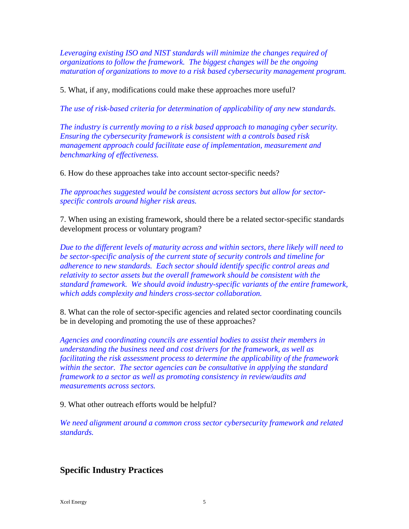*Leveraging existing ISO and NIST standards will minimize the changes required of organizations to follow the framework. The biggest changes will be the ongoing maturation of organizations to move to a risk based cybersecurity management program.*

5. What, if any, modifications could make these approaches more useful?

*The use of risk-based criteria for determination of applicability of any new standards.*

*The industry is currently moving to a risk based approach to managing cyber security. Ensuring the cybersecurity framework is consistent with a controls based risk management approach could facilitate ease of implementation, measurement and benchmarking of effectiveness.*

6. How do these approaches take into account sector-specific needs?

*The approaches suggested would be consistent across sectors but allow for sectorspecific controls around higher risk areas.*

7. When using an existing framework, should there be a related sector-specific standards development process or voluntary program?

*Due to the different levels of maturity across and within sectors, there likely will need to be sector-specific analysis of the current state of security controls and timeline for adherence to new standards. Each sector should identify specific control areas and relativity to sector assets but the overall framework should be consistent with the standard framework. We should avoid industry-specific variants of the entire framework, which adds complexity and hinders cross-sector collaboration.*

8. What can the role of sector-specific agencies and related sector coordinating councils be in developing and promoting the use of these approaches?

*Agencies and coordinating councils are essential bodies to assist their members in understanding the business need and cost drivers for the framework, as well as facilitating the risk assessment process to determine the applicability of the framework within the sector. The sector agencies can be consultative in applying the standard framework to a sector as well as promoting consistency in review/audits and measurements across sectors.*

9. What other outreach efforts would be helpful?

*We need alignment around a common cross sector cybersecurity framework and related standards.*

### **Specific Industry Practices**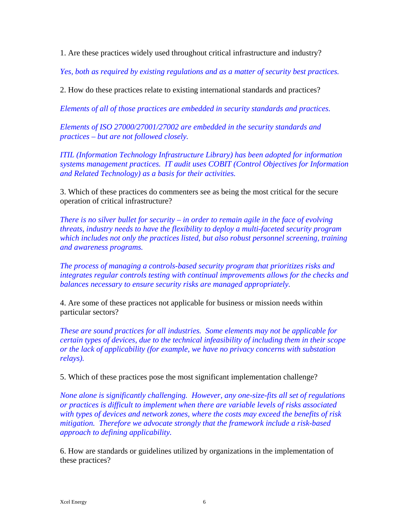1. Are these practices widely used throughout critical infrastructure and industry?

*Yes, both as required by existing regulations and as a matter of security best practices.*

2. How do these practices relate to existing international standards and practices?

*Elements of all of those practices are embedded in security standards and practices.*

*Elements of ISO 27000/27001/27002 are embedded in the security standards and practices – but are not followed closely.*

*ITIL (Information Technology Infrastructure Library) has been adopted for information systems management practices. IT audit uses COBIT (Control Objectives for Information and Related Technology) as a basis for their activities.*

3. Which of these practices do commenters see as being the most critical for the secure operation of critical infrastructure?

*There is no silver bullet for security – in order to remain agile in the face of evolving threats, industry needs to have the flexibility to deploy a multi-faceted security program which includes not only the practices listed, but also robust personnel screening, training and awareness programs.*

*The process of managing a controls-based security program that prioritizes risks and integrates regular controls testing with continual improvements allows for the checks and balances necessary to ensure security risks are managed appropriately.*

4. Are some of these practices not applicable for business or mission needs within particular sectors?

*These are sound practices for all industries. Some elements may not be applicable for certain types of devices, due to the technical infeasibility of including them in their scope or the lack of applicability (for example, we have no privacy concerns with substation relays).* 

5. Which of these practices pose the most significant implementation challenge?

*None alone is significantly challenging. However, any one-size-fits all set of regulations or practices is difficult to implement when there are variable levels of risks associated with types of devices and network zones, where the costs may exceed the benefits of risk mitigation. Therefore we advocate strongly that the framework include a risk-based approach to defining applicability.*

6. How are standards or guidelines utilized by organizations in the implementation of these practices?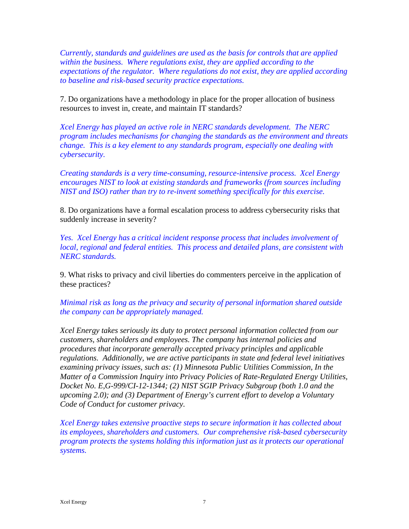*Currently, standards and guidelines are used as the basis for controls that are applied within the business. Where regulations exist, they are applied according to the expectations of the regulator. Where regulations do not exist, they are applied according to baseline and risk-based security practice expectations.* 

7. Do organizations have a methodology in place for the proper allocation of business resources to invest in, create, and maintain IT standards?

*Xcel Energy has played an active role in NERC standards development. The NERC program includes mechanisms for changing the standards as the environment and threats change. This is a key element to any standards program, especially one dealing with cybersecurity.*

*Creating standards is a very time-consuming, resource-intensive process. Xcel Energy encourages NIST to look at existing standards and frameworks (from sources including NIST and ISO) rather than try to re-invent something specifically for this exercise.* 

8. Do organizations have a formal escalation process to address cybersecurity risks that suddenly increase in severity?

*Yes. Xcel Energy has a critical incident response process that includes involvement of local, regional and federal entities. This process and detailed plans, are consistent with NERC standards.*

9. What risks to privacy and civil liberties do commenters perceive in the application of these practices?

*Minimal risk as long as the privacy and security of personal information shared outside the company can be appropriately managed.* 

*Xcel Energy takes seriously its duty to protect personal information collected from our customers, shareholders and employees. The company has internal policies and procedures that incorporate generally accepted privacy principles and applicable regulations. Additionally, we are active participants in state and federal level initiatives examining privacy issues, such as: (1) Minnesota Public Utilities Commission, In the Matter of a Commission Inquiry into Privacy Policies of Rate-Regulated Energy Utilities, Docket No. E,G-999/CI-12-1344; (2) NIST SGIP Privacy Subgroup (both 1.0 and the upcoming 2.0); and (3) Department of Energy's current effort to develop a Voluntary Code of Conduct for customer privacy.*

*Xcel Energy takes extensive proactive steps to secure information it has collected about its employees, shareholders and customers. Our comprehensive risk-based cybersecurity program protects the systems holding this information just as it protects our operational systems.*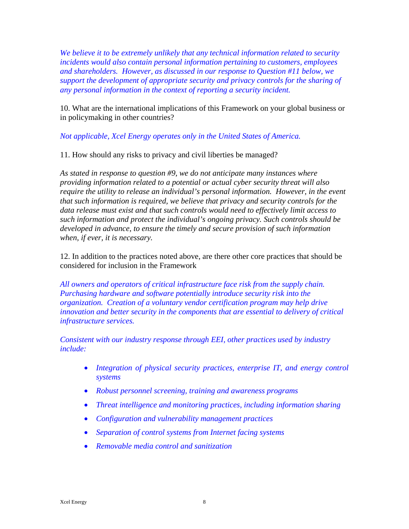*We believe it to be extremely unlikely that any technical information related to security incidents would also contain personal information pertaining to customers, employees and shareholders. However, as discussed in our response to Question #11 below, we support the development of appropriate security and privacy controls for the sharing of any personal information in the context of reporting a security incident.* 

10. What are the international implications of this Framework on your global business or in policymaking in other countries?

#### *Not applicable, Xcel Energy operates only in the United States of America.*

11. How should any risks to privacy and civil liberties be managed?

*As stated in response to question #9, we do not anticipate many instances where providing information related to a potential or actual cyber security threat will also require the utility to release an individual's personal information. However, in the event that such information is required, we believe that privacy and security controls for the data release must exist and that such controls would need to effectively limit access to such information and protect the individual's ongoing privacy. Such controls should be developed in advance, to ensure the timely and secure provision of such information when, if ever, it is necessary.*

12. In addition to the practices noted above, are there other core practices that should be considered for inclusion in the Framework

*All owners and operators of critical infrastructure face risk from the supply chain. Purchasing hardware and software potentially introduce security risk into the organization. Creation of a voluntary vendor certification program may help drive innovation and better security in the components that are essential to delivery of critical infrastructure services.* 

*Consistent with our industry response through EEI, other practices used by industry include:*

- *Integration of physical security practices, enterprise IT, and energy control systems*
- *Robust personnel screening, training and awareness programs*
- *Threat intelligence and monitoring practices, including information sharing*
- *Configuration and vulnerability management practices*
- *Separation of control systems from Internet facing systems*
- *Removable media control and sanitization*